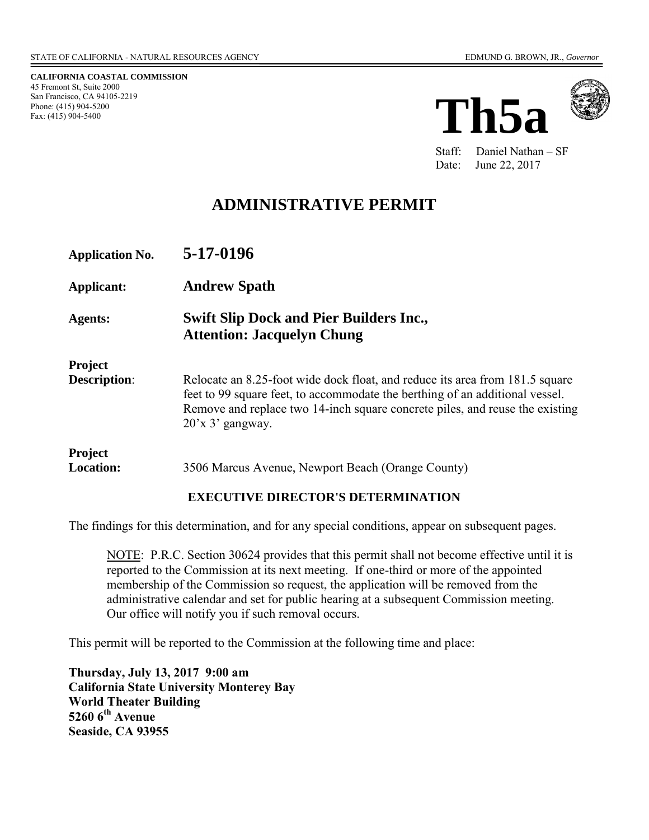**CALIFORNIA COASTAL COMMISSION**  45 Fremont St, Suite 2000 San Francisco, CA 94105-2219 Phone: (415) 904-5200 Fax: (415) 904-5400





Staff: Daniel Nathan – SF Date: June 22, 2017

# **ADMINISTRATIVE PERMIT**

| <b>Application No.</b>                | 5-17-0196                                                                                                                                                                                                                                                           |
|---------------------------------------|---------------------------------------------------------------------------------------------------------------------------------------------------------------------------------------------------------------------------------------------------------------------|
| <b>Applicant:</b>                     | <b>Andrew Spath</b>                                                                                                                                                                                                                                                 |
| Agents:                               | <b>Swift Slip Dock and Pier Builders Inc.,</b><br><b>Attention: Jacquelyn Chung</b>                                                                                                                                                                                 |
| <b>Project</b><br><b>Description:</b> | Relocate an 8.25-foot wide dock float, and reduce its area from 181.5 square<br>feet to 99 square feet, to accommodate the berthing of an additional vessel.<br>Remove and replace two 14-inch square concrete piles, and reuse the existing<br>$20'$ x 3' gangway. |
| Project<br><b>Location:</b>           | 3506 Marcus Avenue, Newport Beach (Orange County)                                                                                                                                                                                                                   |

#### **EXECUTIVE DIRECTOR'S DETERMINATION**

The findings for this determination, and for any special conditions, appear on subsequent pages.

NOTE: P.R.C. Section 30624 provides that this permit shall not become effective until it is reported to the Commission at its next meeting. If one-third or more of the appointed membership of the Commission so request, the application will be removed from the administrative calendar and set for public hearing at a subsequent Commission meeting. Our office will notify you if such removal occurs.

This permit will be reported to the Commission at the following time and place:

**Thursday, July 13, 2017 9:00 am California State University Monterey Bay World Theater Building 5260 6th Avenue Seaside, CA 93955**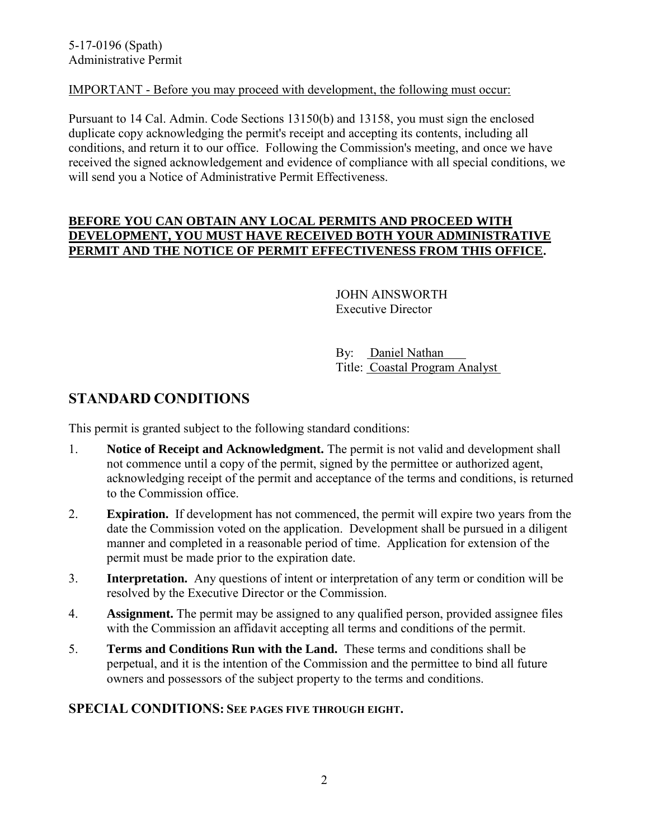### IMPORTANT - Before you may proceed with development, the following must occur:

Pursuant to 14 Cal. Admin. Code Sections 13150(b) and 13158, you must sign the enclosed duplicate copy acknowledging the permit's receipt and accepting its contents, including all conditions, and return it to our office. Following the Commission's meeting, and once we have received the signed acknowledgement and evidence of compliance with all special conditions, we will send you a Notice of Administrative Permit Effectiveness.

#### **BEFORE YOU CAN OBTAIN ANY LOCAL PERMITS AND PROCEED WITH DEVELOPMENT, YOU MUST HAVE RECEIVED BOTH YOUR ADMINISTRATIVE PERMIT AND THE NOTICE OF PERMIT EFFECTIVENESS FROM THIS OFFICE.**

 JOHN AINSWORTH Executive Director

 By: Daniel Nathan Title: Coastal Program Analyst

## **STANDARD CONDITIONS**

This permit is granted subject to the following standard conditions:

- 1. **Notice of Receipt and Acknowledgment.** The permit is not valid and development shall not commence until a copy of the permit, signed by the permittee or authorized agent, acknowledging receipt of the permit and acceptance of the terms and conditions, is returned to the Commission office.
- 2. **Expiration.** If development has not commenced, the permit will expire two years from the date the Commission voted on the application. Development shall be pursued in a diligent manner and completed in a reasonable period of time. Application for extension of the permit must be made prior to the expiration date.
- 3. **Interpretation.** Any questions of intent or interpretation of any term or condition will be resolved by the Executive Director or the Commission.
- 4. **Assignment.** The permit may be assigned to any qualified person, provided assignee files with the Commission an affidavit accepting all terms and conditions of the permit.
- 5. **Terms and Conditions Run with the Land.** These terms and conditions shall be perpetual, and it is the intention of the Commission and the permittee to bind all future owners and possessors of the subject property to the terms and conditions.

### **SPECIAL CONDITIONS: SEE PAGES FIVE THROUGH EIGHT.**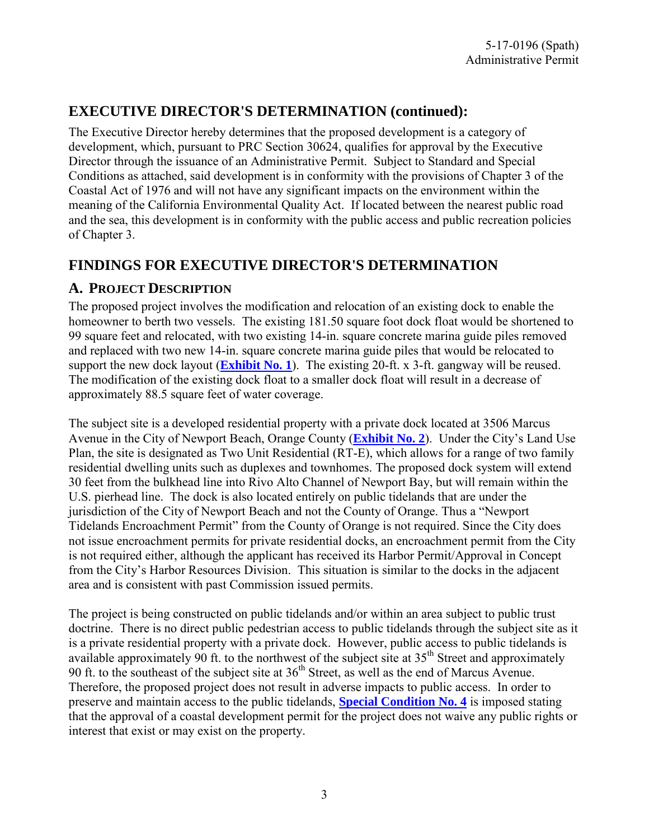# **EXECUTIVE DIRECTOR'S DETERMINATION (continued):**

The Executive Director hereby determines that the proposed development is a category of development, which, pursuant to PRC Section 30624, qualifies for approval by the Executive Director through the issuance of an Administrative Permit. Subject to Standard and Special Conditions as attached, said development is in conformity with the provisions of Chapter 3 of the Coastal Act of 1976 and will not have any significant impacts on the environment within the meaning of the California Environmental Quality Act. If located between the nearest public road and the sea, this development is in conformity with the public access and public recreation policies of Chapter 3.

## **FINDINGS FOR EXECUTIVE DIRECTOR'S DETERMINATION**

## **A. PROJECT DESCRIPTION**

The proposed project involves the modification and relocation of an existing dock to enable the homeowner to berth two vessels. The existing 181.50 square foot dock float would be shortened to 99 square feet and relocated, with two existing 14-in. square concrete marina guide piles removed and replaced with two new 14-in. square concrete marina guide piles that would be relocated to support the new dock layout (**[Exhibit No. 1](https://documents.coastal.ca.gov/reports/2017/7/th5a/th5a-7-2017-exhibits.pdf)**). The existing 20-ft. x 3-ft. gangway will be reused. The modification of the existing dock float to a smaller dock float will result in a decrease of approximately 88.5 square feet of water coverage.

The subject site is a developed residential property with a private dock located at 3506 Marcus Avenue in the City of Newport Beach, Orange County (**[Exhibit No. 2](https://documents.coastal.ca.gov/reports/2017/7/th5a/th5a-7-2017-exhibits.pdf)**). Under the City's Land Use Plan, the site is designated as Two Unit Residential (RT-E), which allows for a range of two family residential dwelling units such as duplexes and townhomes. The proposed dock system will extend 30 feet from the bulkhead line into Rivo Alto Channel of Newport Bay, but will remain within the U.S. pierhead line. The dock is also located entirely on public tidelands that are under the jurisdiction of the City of Newport Beach and not the County of Orange. Thus a "Newport Tidelands Encroachment Permit" from the County of Orange is not required. Since the City does not issue encroachment permits for private residential docks, an encroachment permit from the City is not required either, although the applicant has received its Harbor Permit/Approval in Concept from the City's Harbor Resources Division. This situation is similar to the docks in the adjacent area and is consistent with past Commission issued permits.

The project is being constructed on public tidelands and/or within an area subject to public trust doctrine. There is no direct public pedestrian access to public tidelands through the subject site as it is a private residential property with a private dock. However, public access to public tidelands is available approximately 90 ft. to the northwest of the subject site at  $35<sup>th</sup>$  Street and approximately 90 ft. to the southeast of the subject site at  $36<sup>th</sup>$  Street, as well as the end of Marcus Avenue. Therefore, the proposed project does not result in adverse impacts to public access. In order to preserve and maintain access to the public tidelands, **[Special Condition No. 4](#page-7-0)** is imposed stating that the approval of a coastal development permit for the project does not waive any public rights or interest that exist or may exist on the property.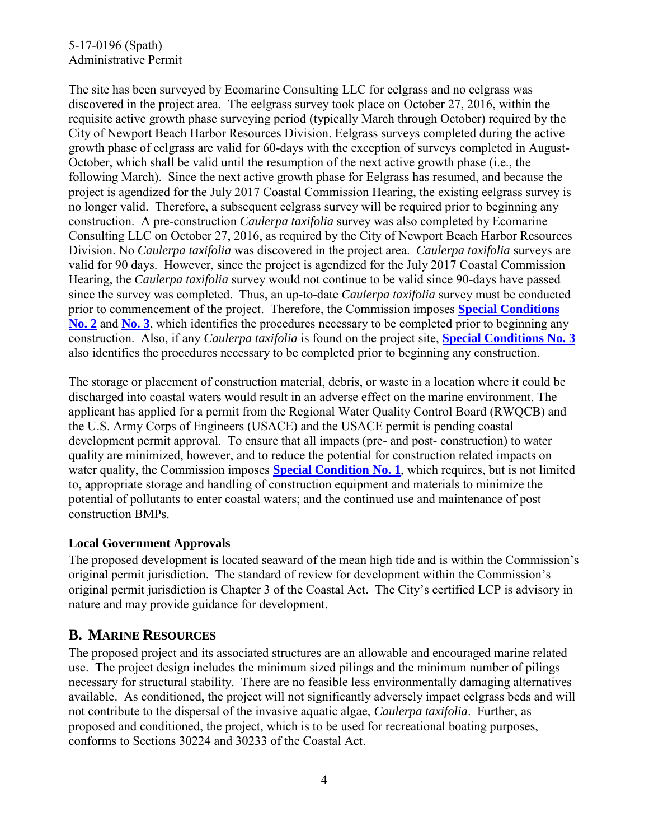### 5-17-0196 (Spath) Administrative Permit

The site has been surveyed by Ecomarine Consulting LLC for eelgrass and no eelgrass was discovered in the project area. The eelgrass survey took place on October 27, 2016, within the requisite active growth phase surveying period (typically March through October) required by the City of Newport Beach Harbor Resources Division. Eelgrass surveys completed during the active growth phase of eelgrass are valid for 60-days with the exception of surveys completed in August-October, which shall be valid until the resumption of the next active growth phase (i.e., the following March). Since the next active growth phase for Eelgrass has resumed, and because the project is agendized for the July 2017 Coastal Commission Hearing, the existing eelgrass survey is no longer valid. Therefore, a subsequent eelgrass survey will be required prior to beginning any construction. A pre-construction *Caulerpa taxifolia* survey was also completed by Ecomarine Consulting LLC on October 27, 2016, as required by the City of Newport Beach Harbor Resources Division. No *Caulerpa taxifolia* was discovered in the project area. *Caulerpa taxifolia* surveys are valid for 90 days. However, since the project is agendized for the July 2017 Coastal Commission Hearing, the *Caulerpa taxifolia* survey would not continue to be valid since 90-days have passed since the survey was completed. Thus, an up-to-date *Caulerpa taxifolia* survey must be conducted prior to commencement of the project. Therefore, the Commission imposes **[Special Conditions](#page-6-0)  [No. 2](#page-6-0)** and **[No. 3](#page-7-1)**, which identifies the procedures necessary to be completed prior to beginning any construction. Also, if any *Caulerpa taxifolia* is found on the project site, **[Special Conditions No. 3](#page-7-1)** also identifies the procedures necessary to be completed prior to beginning any construction.

The storage or placement of construction material, debris, or waste in a location where it could be discharged into coastal waters would result in an adverse effect on the marine environment. The applicant has applied for a permit from the Regional Water Quality Control Board (RWQCB) and the U.S. Army Corps of Engineers (USACE) and the USACE permit is pending coastal development permit approval. To ensure that all impacts (pre- and post- construction) to water quality are minimized, however, and to reduce the potential for construction related impacts on water quality, the Commission imposes **[Special Condition No. 1](#page-4-0)**, which requires, but is not limited to, appropriate storage and handling of construction equipment and materials to minimize the potential of pollutants to enter coastal waters; and the continued use and maintenance of post construction BMPs.

### **Local Government Approvals**

The proposed development is located seaward of the mean high tide and is within the Commission's original permit jurisdiction. The standard of review for development within the Commission's original permit jurisdiction is Chapter 3 of the Coastal Act. The City's certified LCP is advisory in nature and may provide guidance for development.

### **B. MARINE RESOURCES**

The proposed project and its associated structures are an allowable and encouraged marine related use. The project design includes the minimum sized pilings and the minimum number of pilings necessary for structural stability. There are no feasible less environmentally damaging alternatives available. As conditioned, the project will not significantly adversely impact eelgrass beds and will not contribute to the dispersal of the invasive aquatic algae, *Caulerpa taxifolia*. Further, as proposed and conditioned, the project, which is to be used for recreational boating purposes, conforms to Sections 30224 and 30233 of the Coastal Act.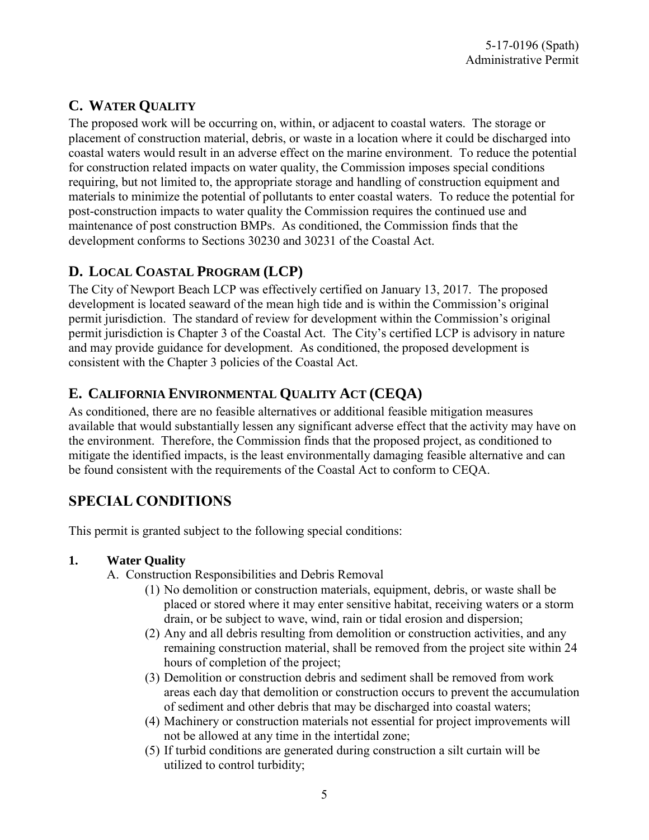# **C. WATER QUALITY**

The proposed work will be occurring on, within, or adjacent to coastal waters. The storage or placement of construction material, debris, or waste in a location where it could be discharged into coastal waters would result in an adverse effect on the marine environment. To reduce the potential for construction related impacts on water quality, the Commission imposes special conditions requiring, but not limited to, the appropriate storage and handling of construction equipment and materials to minimize the potential of pollutants to enter coastal waters. To reduce the potential for post-construction impacts to water quality the Commission requires the continued use and maintenance of post construction BMPs. As conditioned, the Commission finds that the development conforms to Sections 30230 and 30231 of the Coastal Act.

# **D. LOCAL COASTAL PROGRAM (LCP)**

The City of Newport Beach LCP was effectively certified on January 13, 2017. The proposed development is located seaward of the mean high tide and is within the Commission's original permit jurisdiction. The standard of review for development within the Commission's original permit jurisdiction is Chapter 3 of the Coastal Act. The City's certified LCP is advisory in nature and may provide guidance for development. As conditioned, the proposed development is consistent with the Chapter 3 policies of the Coastal Act.

## **E. CALIFORNIA ENVIRONMENTAL QUALITY ACT (CEQA)**

As conditioned, there are no feasible alternatives or additional feasible mitigation measures available that would substantially lessen any significant adverse effect that the activity may have on the environment. Therefore, the Commission finds that the proposed project, as conditioned to mitigate the identified impacts, is the least environmentally damaging feasible alternative and can be found consistent with the requirements of the Coastal Act to conform to CEQA.

# **SPECIAL CONDITIONS**

This permit is granted subject to the following special conditions:

### <span id="page-4-0"></span>**1. Water Quality**

- A. Construction Responsibilities and Debris Removal
	- (1) No demolition or construction materials, equipment, debris, or waste shall be placed or stored where it may enter sensitive habitat, receiving waters or a storm drain, or be subject to wave, wind, rain or tidal erosion and dispersion;
	- (2) Any and all debris resulting from demolition or construction activities, and any remaining construction material, shall be removed from the project site within 24 hours of completion of the project;
	- (3) Demolition or construction debris and sediment shall be removed from work areas each day that demolition or construction occurs to prevent the accumulation of sediment and other debris that may be discharged into coastal waters;
	- (4) Machinery or construction materials not essential for project improvements will not be allowed at any time in the intertidal zone;
	- (5) If turbid conditions are generated during construction a silt curtain will be utilized to control turbidity;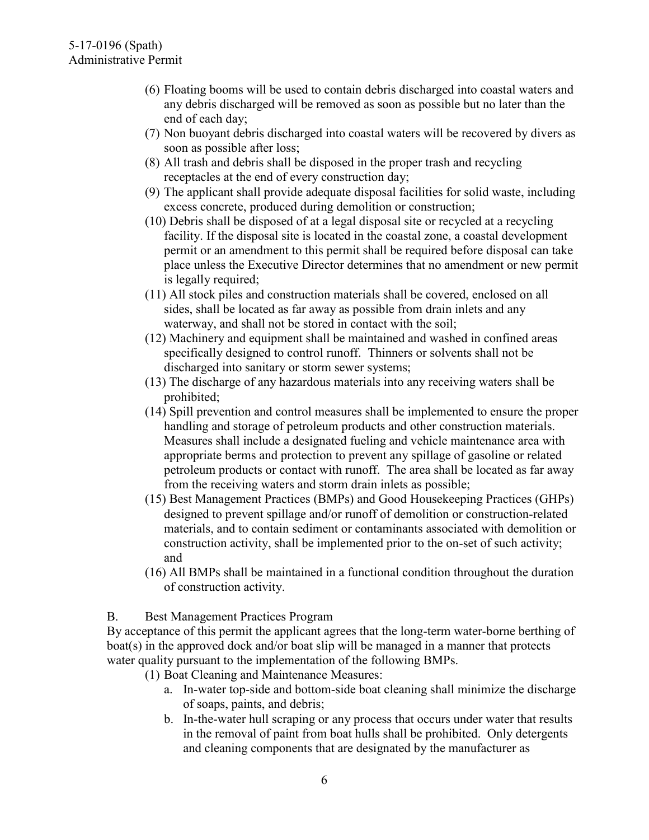- (6) Floating booms will be used to contain debris discharged into coastal waters and any debris discharged will be removed as soon as possible but no later than the end of each day;
- (7) Non buoyant debris discharged into coastal waters will be recovered by divers as soon as possible after loss;
- (8) All trash and debris shall be disposed in the proper trash and recycling receptacles at the end of every construction day;
- (9) The applicant shall provide adequate disposal facilities for solid waste, including excess concrete, produced during demolition or construction;
- (10) Debris shall be disposed of at a legal disposal site or recycled at a recycling facility. If the disposal site is located in the coastal zone, a coastal development permit or an amendment to this permit shall be required before disposal can take place unless the Executive Director determines that no amendment or new permit is legally required;
- (11) All stock piles and construction materials shall be covered, enclosed on all sides, shall be located as far away as possible from drain inlets and any waterway, and shall not be stored in contact with the soil;
- (12) Machinery and equipment shall be maintained and washed in confined areas specifically designed to control runoff. Thinners or solvents shall not be discharged into sanitary or storm sewer systems;
- (13) The discharge of any hazardous materials into any receiving waters shall be prohibited;
- (14) Spill prevention and control measures shall be implemented to ensure the proper handling and storage of petroleum products and other construction materials. Measures shall include a designated fueling and vehicle maintenance area with appropriate berms and protection to prevent any spillage of gasoline or related petroleum products or contact with runoff. The area shall be located as far away from the receiving waters and storm drain inlets as possible;
- (15) Best Management Practices (BMPs) and Good Housekeeping Practices (GHPs) designed to prevent spillage and/or runoff of demolition or construction-related materials, and to contain sediment or contaminants associated with demolition or construction activity, shall be implemented prior to the on-set of such activity; and
- (16) All BMPs shall be maintained in a functional condition throughout the duration of construction activity.

B. Best Management Practices Program

By acceptance of this permit the applicant agrees that the long-term water-borne berthing of boat(s) in the approved dock and/or boat slip will be managed in a manner that protects water quality pursuant to the implementation of the following BMPs.

- (1) Boat Cleaning and Maintenance Measures:
	- a. In-water top-side and bottom-side boat cleaning shall minimize the discharge of soaps, paints, and debris;
	- b. In-the-water hull scraping or any process that occurs under water that results in the removal of paint from boat hulls shall be prohibited. Only detergents and cleaning components that are designated by the manufacturer as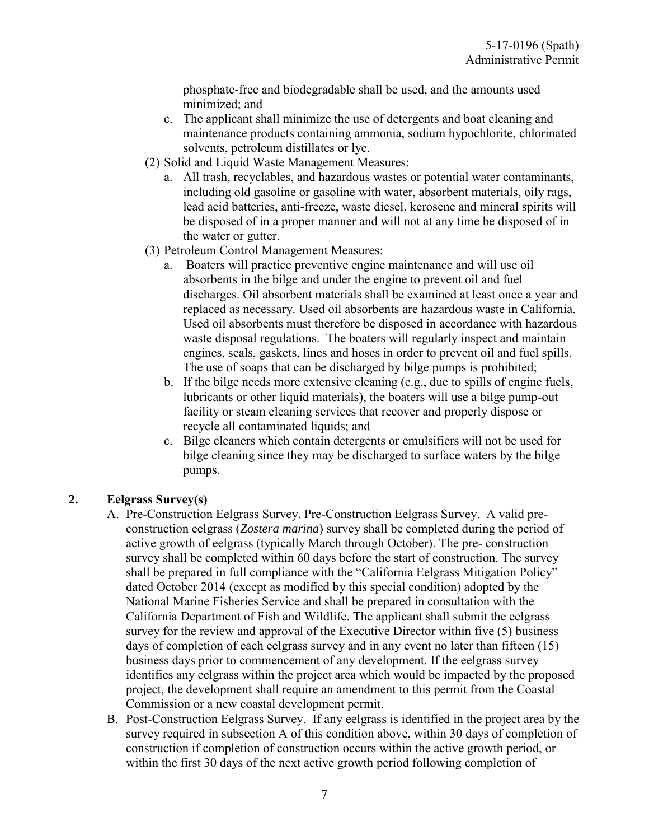phosphate-free and biodegradable shall be used, and the amounts used minimized; and

- c. The applicant shall minimize the use of detergents and boat cleaning and maintenance products containing ammonia, sodium hypochlorite, chlorinated solvents, petroleum distillates or lye.
- (2) Solid and Liquid Waste Management Measures:
	- a. All trash, recyclables, and hazardous wastes or potential water contaminants, including old gasoline or gasoline with water, absorbent materials, oily rags, lead acid batteries, anti-freeze, waste diesel, kerosene and mineral spirits will be disposed of in a proper manner and will not at any time be disposed of in the water or gutter.
- (3) Petroleum Control Management Measures:
	- a. Boaters will practice preventive engine maintenance and will use oil absorbents in the bilge and under the engine to prevent oil and fuel discharges. Oil absorbent materials shall be examined at least once a year and replaced as necessary. Used oil absorbents are hazardous waste in California. Used oil absorbents must therefore be disposed in accordance with hazardous waste disposal regulations. The boaters will regularly inspect and maintain engines, seals, gaskets, lines and hoses in order to prevent oil and fuel spills. The use of soaps that can be discharged by bilge pumps is prohibited;
	- b. If the bilge needs more extensive cleaning (e.g., due to spills of engine fuels, lubricants or other liquid materials), the boaters will use a bilge pump-out facility or steam cleaning services that recover and properly dispose or recycle all contaminated liquids; and
	- c. Bilge cleaners which contain detergents or emulsifiers will not be used for bilge cleaning since they may be discharged to surface waters by the bilge pumps.

### <span id="page-6-0"></span>**2. Eelgrass Survey(s)**

- A. Pre-Construction Eelgrass Survey. Pre-Construction Eelgrass Survey. A valid preconstruction eelgrass (*Zostera marina*) survey shall be completed during the period of active growth of eelgrass (typically March through October). The pre- construction survey shall be completed within 60 days before the start of construction. The survey shall be prepared in full compliance with the "California Eelgrass Mitigation Policy" dated October 2014 (except as modified by this special condition) adopted by the National Marine Fisheries Service and shall be prepared in consultation with the California Department of Fish and Wildlife. The applicant shall submit the eelgrass survey for the review and approval of the Executive Director within five (5) business days of completion of each eelgrass survey and in any event no later than fifteen (15) business days prior to commencement of any development. If the eelgrass survey identifies any eelgrass within the project area which would be impacted by the proposed project, the development shall require an amendment to this permit from the Coastal Commission or a new coastal development permit.
- B. Post-Construction Eelgrass Survey. If any eelgrass is identified in the project area by the survey required in subsection A of this condition above, within 30 days of completion of construction if completion of construction occurs within the active growth period, or within the first 30 days of the next active growth period following completion of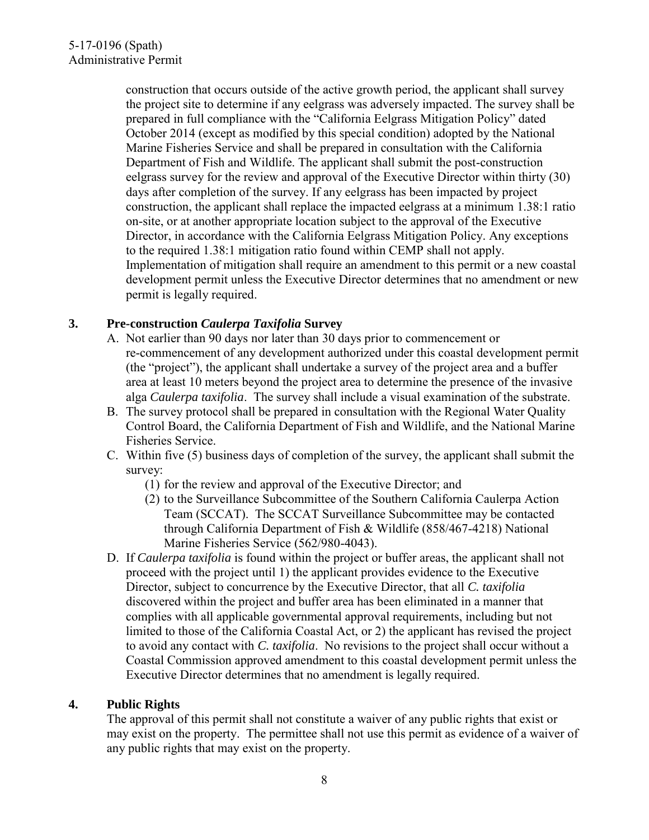construction that occurs outside of the active growth period, the applicant shall survey the project site to determine if any eelgrass was adversely impacted. The survey shall be prepared in full compliance with the "California Eelgrass Mitigation Policy" dated October 2014 (except as modified by this special condition) adopted by the National Marine Fisheries Service and shall be prepared in consultation with the California Department of Fish and Wildlife. The applicant shall submit the post-construction eelgrass survey for the review and approval of the Executive Director within thirty (30) days after completion of the survey. If any eelgrass has been impacted by project construction, the applicant shall replace the impacted eelgrass at a minimum 1.38:1 ratio on-site, or at another appropriate location subject to the approval of the Executive Director, in accordance with the California Eelgrass Mitigation Policy. Any exceptions to the required 1.38:1 mitigation ratio found within CEMP shall not apply. Implementation of mitigation shall require an amendment to this permit or a new coastal development permit unless the Executive Director determines that no amendment or new permit is legally required.

### <span id="page-7-1"></span>**3. Pre-construction** *Caulerpa Taxifolia* **Survey**

- A. Not earlier than 90 days nor later than 30 days prior to commencement or re-commencement of any development authorized under this coastal development permit (the "project"), the applicant shall undertake a survey of the project area and a buffer area at least 10 meters beyond the project area to determine the presence of the invasive alga *Caulerpa taxifolia*. The survey shall include a visual examination of the substrate.
- B. The survey protocol shall be prepared in consultation with the Regional Water Quality Control Board, the California Department of Fish and Wildlife, and the National Marine Fisheries Service.
- C. Within five (5) business days of completion of the survey, the applicant shall submit the survey:
	- (1) for the review and approval of the Executive Director; and
	- (2) to the Surveillance Subcommittee of the Southern California Caulerpa Action Team (SCCAT). The SCCAT Surveillance Subcommittee may be contacted through California Department of Fish & Wildlife (858/467-4218) National Marine Fisheries Service (562/980-4043).
- D. If *Caulerpa taxifolia* is found within the project or buffer areas, the applicant shall not proceed with the project until 1) the applicant provides evidence to the Executive Director, subject to concurrence by the Executive Director, that all *C. taxifolia* discovered within the project and buffer area has been eliminated in a manner that complies with all applicable governmental approval requirements, including but not limited to those of the California Coastal Act, or 2) the applicant has revised the project to avoid any contact with *C. taxifolia*. No revisions to the project shall occur without a Coastal Commission approved amendment to this coastal development permit unless the Executive Director determines that no amendment is legally required.

### <span id="page-7-0"></span>**4. Public Rights**

The approval of this permit shall not constitute a waiver of any public rights that exist or may exist on the property. The permittee shall not use this permit as evidence of a waiver of any public rights that may exist on the property.